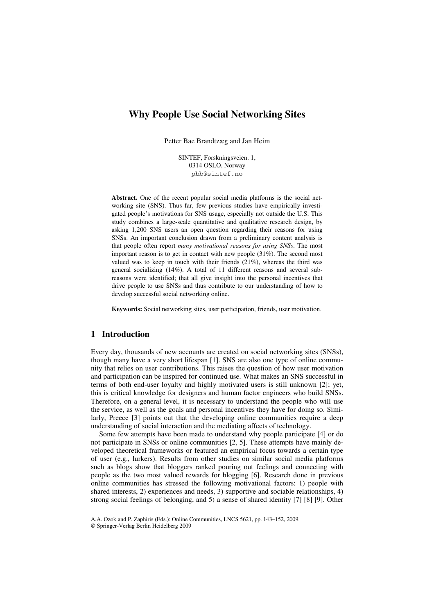# **Why People Use Social Networking Sites**

Petter Bae Brandtzæg and Jan Heim

SINTEF, Forskningsveien. 1, 0314 OSLO, Norway pbb@sintef.no

**Abstract.** One of the recent popular social media platforms is the social networking site (SNS). Thus far, few previous studies have empirically investigated people's motivations for SNS usage, especially not outside the U.S. This study combines a large-scale quantitative and qualitative research design, by asking 1,200 SNS users an open question regarding their reasons for using SNSs. An important conclusion drawn from a preliminary content analysis is that people often report *many motivational reasons for using SNSs*. The most important reason is to get in contact with new people (31%). The second most valued was to keep in touch with their friends (21%), whereas the third was general socializing (14%). A total of 11 different reasons and several subreasons were identified; that all give insight into the personal incentives that drive people to use SNSs and thus contribute to our understanding of how to develop successful social networking online.

**Keywords:** Social networking sites, user participation, friends, user motivation.

# **1 Introduction**

Every day, thousands of new accounts are created on social networking sites (SNSs), though many have a very short lifespan [1]. SNS are also one type of online community that relies on user contributions. This raises the question of how user motivation and participation can be inspired for continued use. What makes an SNS successful in terms of both end-user loyalty and highly motivated users is still unknown [2]; yet, this is critical knowledge for designers and human factor engineers who build SNSs. Therefore, on a general level, it is necessary to understand the people who will use the service, as well as the goals and personal incentives they have for doing so. Similarly, Preece [3] points out that the developing online communities require a deep understanding of social interaction and the mediating affects of technology.

Some few attempts have been made to understand why people participate [4] or do not participate in SNSs or online communities [2, 5]. These attempts have mainly developed theoretical frameworks or featured an empirical focus towards a certain type of user (e.g., lurkers). Results from other studies on similar social media platforms such as blogs show that bloggers ranked pouring out feelings and connecting with people as the two most valued rewards for blogging [6]. Research done in previous online communities has stressed the following motivational factors: 1) people with shared interests, 2) experiences and needs, 3) supportive and sociable relationships, 4) strong social feelings of belonging, and 5) a sense of shared identity [7] [8] [9]. Other

A.A. Ozok and P. Zaphiris (Eds.): Online Communities, LNCS 5621, pp. 143–152, 2009.

<sup>©</sup> Springer-Verlag Berlin Heidelberg 2009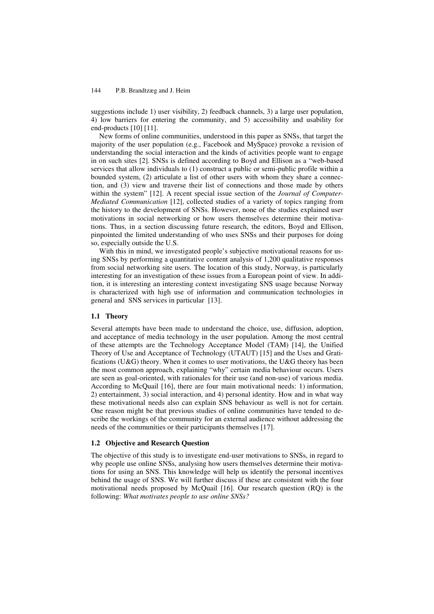suggestions include 1) user visibility, 2) feedback channels, 3) a large user population, 4) low barriers for entering the community, and 5) accessibility and usability for end-products [10] [11].

New forms of online communities, understood in this paper as SNSs, that target the majority of the user population (e.g., Facebook and MySpace) provoke a revision of understanding the social interaction and the kinds of activities people want to engage in on such sites [2]. SNSs is defined according to Boyd and Ellison as a "web-based services that allow individuals to (1) construct a public or semi-public profile within a bounded system, (2) articulate a list of other users with whom they share a connection, and (3) view and traverse their list of connections and those made by others within the system" [12]. A recent special issue section of the *Journal of Computer-Mediated Communication* [12], collected studies of a variety of topics ranging from the history to the development of SNSs. However, none of the studies explained user motivations in social networking or how users themselves determine their motivations. Thus, in a section discussing future research, the editors, Boyd and Ellison, pinpointed the limited understanding of who uses SNSs and their purposes for doing so, especially outside the U.S.

With this in mind, we investigated people's subjective motivational reasons for using SNSs by performing a quantitative content analysis of 1,200 qualitative responses from social networking site users. The location of this study, Norway, is particularly interesting for an investigation of these issues from a European point of view. In addition, it is interesting an interesting context investigating SNS usage because Norway is characterized with high use of information and communication technologies in general and SNS services in particular [13].

### **1.1 Theory**

Several attempts have been made to understand the choice, use, diffusion, adoption, and acceptance of media technology in the user population. Among the most central of these attempts are the Technology Acceptance Model (TAM) [14], the Unified Theory of Use and Acceptance of Technology (UTAUT) [15] and the Uses and Gratifications (U&G) theory. When it comes to user motivations, the U&G theory has been the most common approach, explaining "why" certain media behaviour occurs. Users are seen as goal-oriented, with rationales for their use (and non-use) of various media. According to McQuail [16], there are four main motivational needs: 1) information, 2) entertainment, 3) social interaction, and 4) personal identity. How and in what way these motivational needs also can explain SNS behaviour as well is not for certain. One reason might be that previous studies of online communities have tended to describe the workings of the community for an external audience without addressing the needs of the communities or their participants themselves [17].

#### **1.2 Objective and Research Question**

The objective of this study is to investigate end-user motivations to SNSs, in regard to why people use online SNSs, analysing how users themselves determine their motivations for using an SNS. This knowledge will help us identify the personal incentives behind the usage of SNS. We will further discuss if these are consistent with the four motivational needs proposed by McQuail [16]. Our research question (RQ) is the following: *What motivates people to use online SNSs?*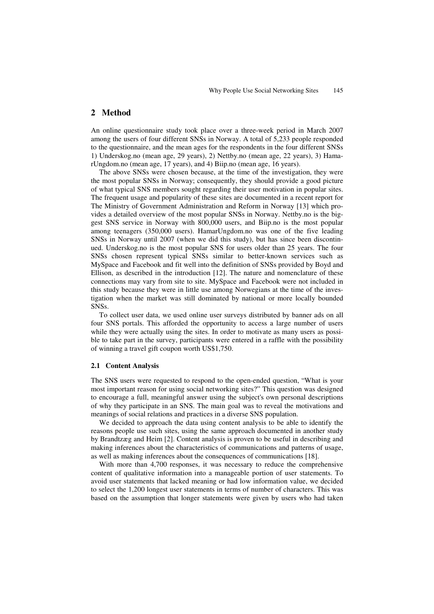### **2 Method**

An online questionnaire study took place over a three-week period in March 2007 among the users of four different SNSs in Norway. A total of 5,233 people responded to the questionnaire, and the mean ages for the respondents in the four different SNSs 1) Underskog.no (mean age, 29 years), 2) Nettby.no (mean age, 22 years), 3) HamarUngdom.no (mean age, 17 years), and 4) Biip.no (mean age, 16 years).

The above SNSs were chosen because, at the time of the investigation, they were the most popular SNSs in Norway; consequently, they should provide a good picture of what typical SNS members sought regarding their user motivation in popular sites. The frequent usage and popularity of these sites are documented in a recent report for The Ministry of Government Administration and Reform in Norway [13] which provides a detailed overview of the most popular SNSs in Norway. Nettby.no is the biggest SNS service in Norway with 800,000 users, and Biip.no is the most popular among teenagers (350,000 users). HamarUngdom.no was one of the five leading SNSs in Norway until 2007 (when we did this study), but has since been discontinued. Underskog.no is the most popular SNS for users older than 25 years. The four SNSs chosen represent typical SNSs similar to better-known services such as MySpace and Facebook and fit well into the definition of SNSs provided by Boyd and Ellison, as described in the introduction [12]. The nature and nomenclature of these connections may vary from site to site. MySpace and Facebook were not included in this study because they were in little use among Norwegians at the time of the investigation when the market was still dominated by national or more locally bounded SNSs.

To collect user data, we used online user surveys distributed by banner ads on all four SNS portals. This afforded the opportunity to access a large number of users while they were actually using the sites. In order to motivate as many users as possible to take part in the survey, participants were entered in a raffle with the possibility of winning a travel gift coupon worth US\$1,750.

### **2.1 Content Analysis**

The SNS users were requested to respond to the open-ended question, "What is your most important reason for using social networking sites?" This question was designed to encourage a full, meaningful answer using the subject's own personal descriptions of why they participate in an SNS. The main goal was to reveal the motivations and meanings of social relations and practices in a diverse SNS population.

We decided to approach the data using content analysis to be able to identify the reasons people use such sites, using the same approach documented in another study by Brandtzæg and Heim [2]. Content analysis is proven to be useful in describing and making inferences about the characteristics of communications and patterns of usage, as well as making inferences about the consequences of communications [18].

With more than 4,700 responses, it was necessary to reduce the comprehensive content of qualitative information into a manageable portion of user statements. To avoid user statements that lacked meaning or had low information value, we decided to select the 1,200 longest user statements in terms of number of characters. This was based on the assumption that longer statements were given by users who had taken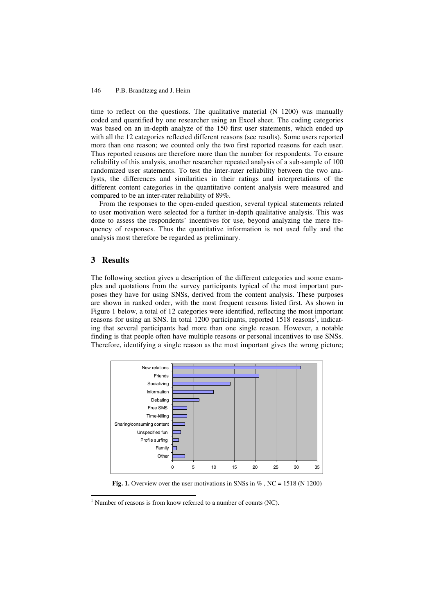time to reflect on the questions. The qualitative material (N 1200) was manually coded and quantified by one researcher using an Excel sheet. The coding categories was based on an in-depth analyze of the 150 first user statements, which ended up with all the 12 categories reflected different reasons (see results). Some users reported more than one reason; we counted only the two first reported reasons for each user. Thus reported reasons are therefore more than the number for respondents. To ensure reliability of this analysis, another researcher repeated analysis of a sub-sample of 100 randomized user statements. To test the inter-rater reliability between the two analysts, the differences and similarities in their ratings and interpretations of the different content categories in the quantitative content analysis were measured and compared to be an inter-rater reliability of 89%.

From the responses to the open-ended question, several typical statements related to user motivation were selected for a further in-depth qualitative analysis. This was done to assess the respondents' incentives for use, beyond analyzing the mere frequency of responses. Thus the quantitative information is not used fully and the analysis most therefore be regarded as preliminary.

# **3 Results**

The following section gives a description of the different categories and some examples and quotations from the survey participants typical of the most important purposes they have for using SNSs, derived from the content analysis. These purposes are shown in ranked order, with the most frequent reasons listed first. As shown in Figure 1 below, a total of 12 categories were identified, reflecting the most important reasons for using an SNS. In total 1200 participants, reported 1518 reasons<sup>1</sup>, indicating that several participants had more than one single reason. However, a notable finding is that people often have multiple reasons or personal incentives to use SNSs. Therefore, identifying a single reason as the most important gives the wrong picture;



**Fig. 1.** Overview over the user motivations in SNSs in  $\%$ , NC = 1518 (N 1200)

 1 Number of reasons is from know referred to a number of counts (NC).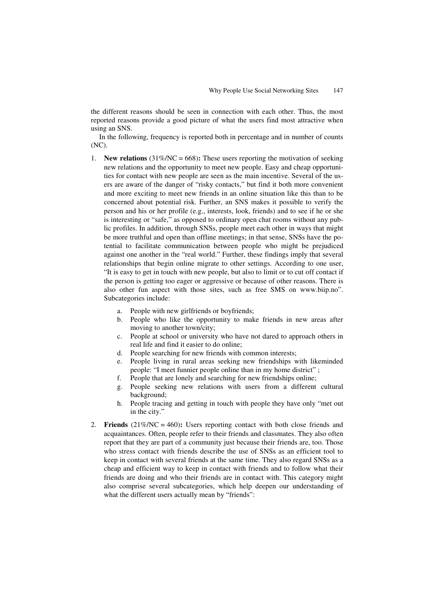the different reasons should be seen in connection with each other. Thus, the most reported reasons provide a good picture of what the users find most attractive when using an SNS.

In the following, frequency is reported both in percentage and in number of counts (NC).

- 1. **New relations** (31%/NC = 668)**:** These users reporting the motivation of seeking new relations and the opportunity to meet new people. Easy and cheap opportunities for contact with new people are seen as the main incentive. Several of the users are aware of the danger of "risky contacts," but find it both more convenient and more exciting to meet new friends in an online situation like this than to be concerned about potential risk. Further, an SNS makes it possible to verify the person and his or her profile (e.g., interests, look, friends) and to see if he or she is interesting or "safe," as opposed to ordinary open chat rooms without any public profiles. In addition, through SNSs, people meet each other in ways that might be more truthful and open than offline meetings; in that sense, SNSs have the potential to facilitate communication between people who might be prejudiced against one another in the "real world." Further, these findings imply that several relationships that begin online migrate to other settings. According to one user, "It is easy to get in touch with new people, but also to limit or to cut off contact if the person is getting too eager or aggressive or because of other reasons. There is also other fun aspect with those sites, such as free SMS on www.biip.no". Subcategories include:
	- a. People with new girlfriends or boyfriends;
	- b. People who like the opportunity to make friends in new areas after moving to another town/city;
	- c. People at school or university who have not dared to approach others in real life and find it easier to do online;
	- d. People searching for new friends with common interests;
	- e. People living in rural areas seeking new friendships with likeminded people: "I meet funnier people online than in my home district" ;
	- f. People that are lonely and searching for new friendships online;
	- g. People seeking new relations with users from a different cultural background;
	- h. People tracing and getting in touch with people they have only "met out in the city."
- 2. **Friends** (21%/NC = 460)**:** Users reporting contact with both close friends and acquaintances. Often, people refer to their friends and classmates. They also often report that they are part of a community just because their friends are, too. Those who stress contact with friends describe the use of SNSs as an efficient tool to keep in contact with several friends at the same time. They also regard SNSs as a cheap and efficient way to keep in contact with friends and to follow what their friends are doing and who their friends are in contact with. This category might also comprise several subcategories, which help deepen our understanding of what the different users actually mean by "friends":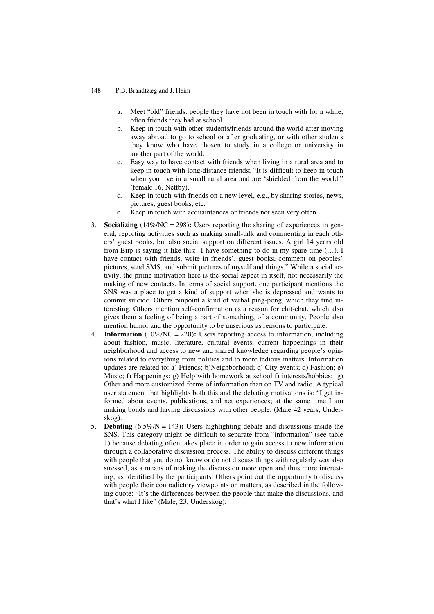- a. Meet "old" friends: people they have not been in touch with for a while, often friends they had at school.
- b. Keep in touch with other students/friends around the world after moving away abroad to go to school or after graduating, or with other students they know who have chosen to study in a college or university in another part of the world.
- c. Easy way to have contact with friends when living in a rural area and to keep in touch with long-distance friends; "It is difficult to keep in touch when you live in a small rural area and are 'shielded from the world." (female 16, Nettby).
- d. Keep in touch with friends on a new level, e.g., by sharing stories, news, pictures, guest books, etc.
- e. Keep in touch with acquaintances or friends not seen very often.
- 3. **Socializing** (14%/NC = 298)**:** Users reporting the sharing of experiences in general, reporting activities such as making small-talk and commenting in each others' guest books, but also social support on different issues. A girl 14 years old from Biip is saying it like this: I have something to do in my spare time (…). I have contact with friends, write in friends'. guest books, comment on peoples' pictures, send SMS, and submit pictures of myself and things." While a social activity, the prime motivation here is the social aspect in itself, not necessarily the making of new contacts. In terms of social support, one participant mentions the SNS was a place to get a kind of support when she is depressed and wants to commit suicide. Others pinpoint a kind of verbal ping-pong, which they find interesting. Others mention self-confirmation as a reason for chit-chat, which also gives them a feeling of being a part of something, of a community. People also mention humor and the opportunity to be unserious as reasons to participate.
- 4. **Information** (10%/NC = 220)**:** Users reporting access to information, including about fashion, music, literature, cultural events, current happenings in their neighborhood and access to new and shared knowledge regarding people's opinions related to everything from politics and to more tedious matters. Information updates are related to: a) Friends; b)Neighborhood; c) City events; d) Fashion; e) Music; f) Happenings; g) Help with homework at school f) interests/hobbies; g) Other and more customized forms of information than on TV and radio. A typical user statement that highlights both this and the debating motivations is: "I get informed about events, publications, and net experiences; at the same time I am making bonds and having discussions with other people. (Male 42 years, Underskog).
- 5. **Debating** (6.5%/N = 143)**:** Users highlighting debate and discussions inside the SNS. This category might be difficult to separate from "information" (see table 1) because debating often takes place in order to gain access to new information through a collaborative discussion process. The ability to discuss different things with people that you do not know or do not discuss things with regularly was also stressed, as a means of making the discussion more open and thus more interesting, as identified by the participants. Others point out the opportunity to discuss with people their contradictory viewpoints on matters, as described in the following quote: "It's the differences between the people that make the discussions, and that's what I like" (Male, 23, Underskog).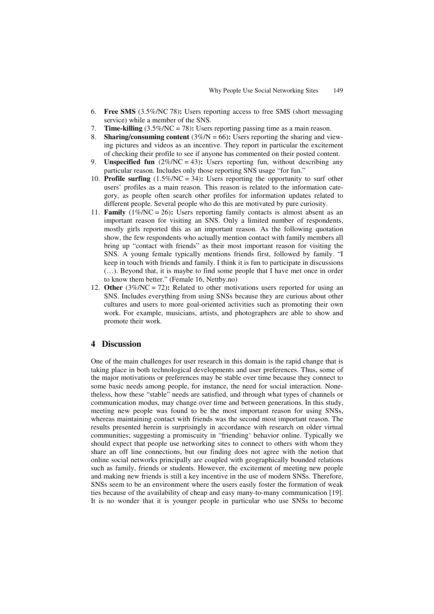- 6. **Free SMS** (3.5%/NC 78)**:** Users reporting access to free SMS (short messaging service) while a member of the SNS.
- 7. **Time-killing** (3.5%/NC = 78)**:** Users reporting passing time as a main reason.
- 8. **Sharing/consuming content**  $(3\%/N) = 66$ ; Users reporting the sharing and viewing pictures and videos as an incentive. They report in particular the excitement of checking their profile to see if anyone has commented on their posted content.
- 9. **Unspecified fun**  $(2\%/NC = 43)$ : Users reporting fun, without describing any particular reason. Includes only those reporting SNS usage "for fun."
- 10. **Profile surfing** (1.5%/NC = 34)**:** Users reporting the opportunity to surf other users' profiles as a main reason. This reason is related to the information category, as people often search other profiles for information updates related to different people. Several people who do this are motivated by pure curiosity.
- 11. **Family**  $(1\%/NC = 26)$ : Users reporting family contacts is almost absent as an important reason for visiting an SNS. Only a limited number of respondents, mostly girls reported this as an important reason. As the following quotation show, the few respondents who actually mention contact with family members all bring up "contact with friends" as their most important reason for visiting the SNS. A young female typically mentions friends first, followed by family. "I keep in touch with friends and family. I think it is fun to participate in discussions (…). Beyond that, it is maybe to find some people that I have met once in order to know them better." (Female 16, Nettby.no)
- 12. **Other** (3%/NC = 72)**:** Related to other motivations users reported for using an SNS. Includes everything from using SNSs because they are curious about other cultures and users to more goal-oriented activities such as promoting their own work. For example, musicians, artists, and photographers are able to show and promote their work.

# **4 Discussion**

One of the main challenges for user research in this domain is the rapid change that is taking place in both technological developments and user preferences. Thus, some of the major motivations or preferences may be stable over time because they connect to some basic needs among people, for instance, the need for social interaction. Nonetheless, how these "stable" needs are satisfied, and through what types of channels or communication modus, may change over time and between generations. In this study, meeting new people was found to be the most important reason for using SNSs, whereas maintaining contact with friends was the second most important reason. The results presented herein is surprisingly in accordance with research on older virtual communities; suggesting a promiscuity in "friending' behavior online. Typically we should expect that people use networking sites to connect to others with whom they share an off line connections, but our finding does not agree with the notion that online social networks principally are coupled with geographically bounded relations such as family, friends or students. However, the excitement of meeting new people and making new friends is still a key incentive in the use of modern SNSs. Therefore, SNSs seem to be an environment where the users easily foster the formation of weak ties because of the availability of cheap and easy many-to-many communication [19]. It is no wonder that it is younger people in particular who use SNSs to become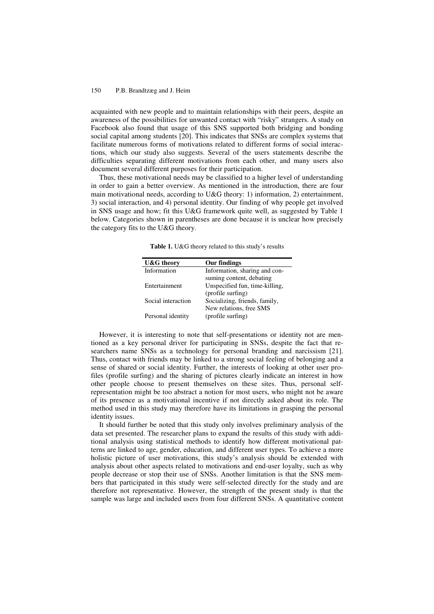acquainted with new people and to maintain relationships with their peers, despite an awareness of the possibilities for unwanted contact with "risky" strangers. A study on Facebook also found that usage of this SNS supported both bridging and bonding social capital among students [20]. This indicates that SNSs are complex systems that facilitate numerous forms of motivations related to different forms of social interactions, which our study also suggests. Several of the users statements describe the difficulties separating different motivations from each other, and many users also document several different purposes for their participation.

Thus, these motivational needs may be classified to a higher level of understanding in order to gain a better overview. As mentioned in the introduction, there are four main motivational needs, according to U&G theory: 1) information, 2) entertainment, 3) social interaction, and 4) personal identity. Our finding of why people get involved in SNS usage and how; fit this U&G framework quite well, as suggested by Table 1 below. Categories shown in parentheses are done because it is unclear how precisely the category fits to the U&G theory.

**Table 1.** U&G theory related to this study's results

| <b>U&amp;G</b> theory | Our findings                   |
|-----------------------|--------------------------------|
| Information           | Information, sharing and con-  |
|                       | suming content, debating       |
| Entertainment         | Unspecified fun, time-killing, |
|                       | (profile surfing)              |
| Social interaction    | Socializing, friends, family,  |
|                       | New relations, free SMS        |
| Personal identity     | (profile surfing)              |

However, it is interesting to note that self-presentations or identity not are mentioned as a key personal driver for participating in SNSs, despite the fact that researchers name SNSs as a technology for personal branding and narcissism [21]. Thus, contact with friends may be linked to a strong social feeling of belonging and a sense of shared or social identity. Further, the interests of looking at other user profiles (profile surfing) and the sharing of pictures clearly indicate an interest in how other people choose to present themselves on these sites. Thus, personal selfrepresentation might be too abstract a notion for most users, who might not be aware of its presence as a motivational incentive if not directly asked about its role. The method used in this study may therefore have its limitations in grasping the personal identity issues.

It should further be noted that this study only involves preliminary analysis of the data set presented. The researcher plans to expand the results of this study with additional analysis using statistical methods to identify how different motivational patterns are linked to age, gender, education, and different user types. To achieve a more holistic picture of user motivations, this study's analysis should be extended with analysis about other aspects related to motivations and end-user loyalty, such as why people decrease or stop their use of SNSs. Another limitation is that the SNS members that participated in this study were self-selected directly for the study and are therefore not representative. However, the strength of the present study is that the sample was large and included users from four different SNSs. A quantitative content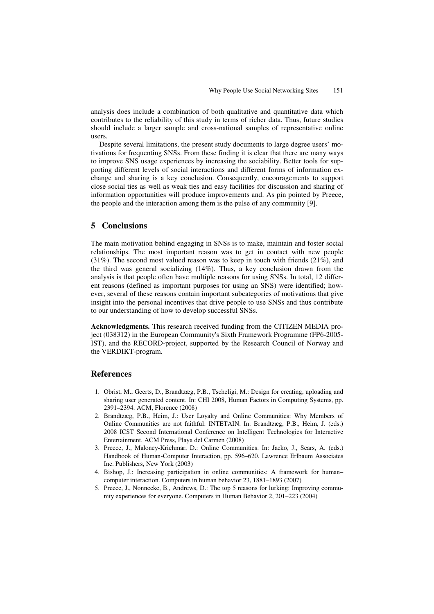analysis does include a combination of both qualitative and quantitative data which contributes to the reliability of this study in terms of richer data. Thus, future studies should include a larger sample and cross-national samples of representative online users.

Despite several limitations, the present study documents to large degree users' motivations for frequenting SNSs. From these finding it is clear that there are many ways to improve SNS usage experiences by increasing the sociability. Better tools for supporting different levels of social interactions and different forms of information exchange and sharing is a key conclusion. Consequently, encouragements to support close social ties as well as weak ties and easy facilities for discussion and sharing of information opportunities will produce improvements and. As pin pointed by Preece, the people and the interaction among them is the pulse of any community [9].

# **5 Conclusions**

The main motivation behind engaging in SNSs is to make, maintain and foster social relationships. The most important reason was to get in contact with new people (31%). The second most valued reason was to keep in touch with friends (21%), and the third was general socializing (14%). Thus, a key conclusion drawn from the analysis is that people often have multiple reasons for using SNSs. In total, 12 different reasons (defined as important purposes for using an SNS) were identified; however, several of these reasons contain important subcategories of motivations that give insight into the personal incentives that drive people to use SNSs and thus contribute to our understanding of how to develop successful SNSs.

**Acknowledgments.** This research received funding from the CITIZEN MEDIA project (038312) in the European Community's Sixth Framework Programme (FP6-2005- IST), and the RECORD-project, supported by the Research Council of Norway and the VERDIKT-program.

### **References**

- 1. Obrist, M., Geerts, D., Brandtzæg, P.B., Tscheligi, M.: Design for creating, uploading and sharing user generated content. In: CHI 2008, Human Factors in Computing Systems, pp. 2391–2394. ACM, Florence (2008)
- 2. Brandtzæg, P.B., Heim, J.: User Loyalty and Online Communities: Why Members of Online Communities are not faithful: INTETAIN. In: Brandtzæg, P.B., Heim, J. (eds.) 2008 ICST Second International Conference on Intelligent Technologies for Interactive Entertainment. ACM Press, Playa del Carmen (2008)
- 3. Preece, J., Maloney-Krichmar, D.: Online Communities. In: Jacko, J., Sears, A. (eds.) Handbook of Human-Computer Interaction, pp. 596–620. Lawrence Erlbaum Associates Inc. Publishers, New York (2003)
- 4. Bishop, J.: Increasing participation in online communities: A framework for human– computer interaction. Computers in human behavior 23, 1881–1893 (2007)
- 5. Preece, J., Nonnecke, B., Andrews, D.: The top 5 reasons for lurking: Improving community experiences for everyone. Computers in Human Behavior 2, 201–223 (2004)